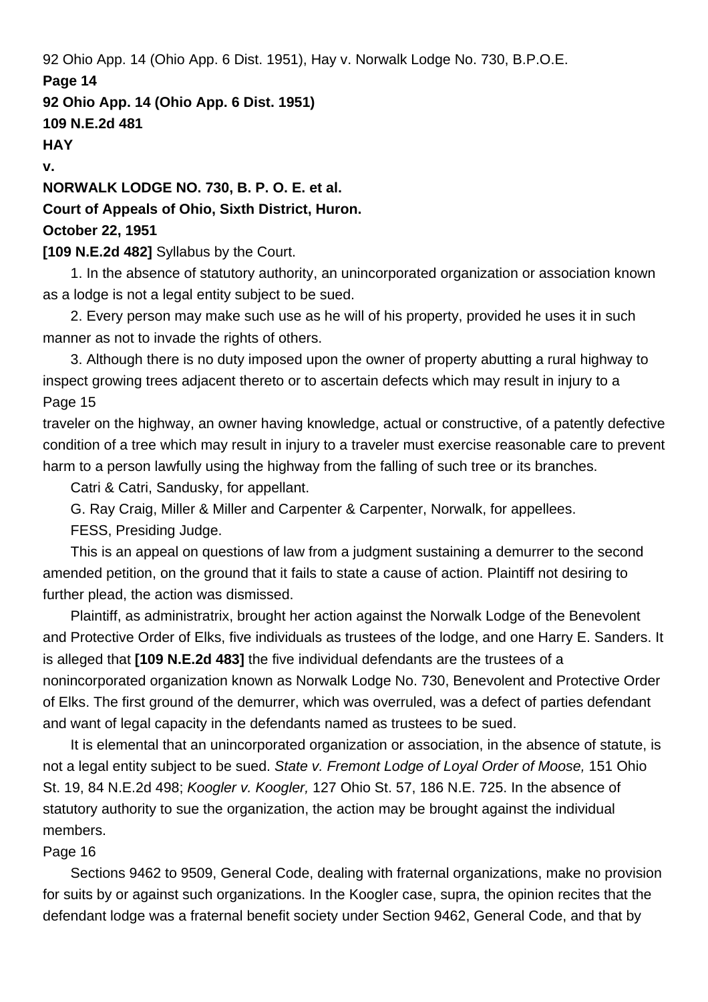92 Ohio App. 14 (Ohio App. 6 Dist. 1951), Hay v. Norwalk Lodge No. 730, B.P.O.E. **Page 14 92 Ohio App. 14 (Ohio App. 6 Dist. 1951) 109 N.E.2d 481 HAY v. NORWALK LODGE NO. 730, B. P. O. E. et al.**

# **Court of Appeals of Ohio, Sixth District, Huron.**

### **October 22, 1951**

## **[109 N.E.2d 482]** Syllabus by the Court.

 1. In the absence of statutory authority, an unincorporated organization or association known as a lodge is not a legal entity subject to be sued.

 2. Every person may make such use as he will of his property, provided he uses it in such manner as not to invade the rights of others.

 3. Although there is no duty imposed upon the owner of property abutting a rural highway to inspect growing trees adjacent thereto or to ascertain defects which may result in injury to a Page 15

traveler on the highway, an owner having knowledge, actual or constructive, of a patently defective condition of a tree which may result in injury to a traveler must exercise reasonable care to prevent harm to a person lawfully using the highway from the falling of such tree or its branches.

Catri & Catri, Sandusky, for appellant.

G. Ray Craig, Miller & Miller and Carpenter & Carpenter, Norwalk, for appellees.

FESS, Presiding Judge.

 This is an appeal on questions of law from a judgment sustaining a demurrer to the second amended petition, on the ground that it fails to state a cause of action. Plaintiff not desiring to further plead, the action was dismissed.

 Plaintiff, as administratrix, brought her action against the Norwalk Lodge of the Benevolent and Protective Order of Elks, five individuals as trustees of the lodge, and one Harry E. Sanders. It is alleged that **[109 N.E.2d 483]** the five individual defendants are the trustees of a nonincorporated organization known as Norwalk Lodge No. 730, Benevolent and Protective Order of Elks. The first ground of the demurrer, which was overruled, was a defect of parties defendant and want of legal capacity in the defendants named as trustees to be sued.

 It is elemental that an unincorporated organization or association, in the absence of statute, is not a legal entity subject to be sued. State v. Fremont Lodge of Loyal Order of Moose, 151 Ohio St. 19, 84 N.E.2d 498; Koogler v. Koogler, 127 Ohio St. 57, 186 N.E. 725. In the absence of statutory authority to sue the organization, the action may be brought against the individual members.

# Page 16

 Sections 9462 to 9509, General Code, dealing with fraternal organizations, make no provision for suits by or against such organizations. In the Koogler case, supra, the opinion recites that the defendant lodge was a fraternal benefit society under Section 9462, General Code, and that by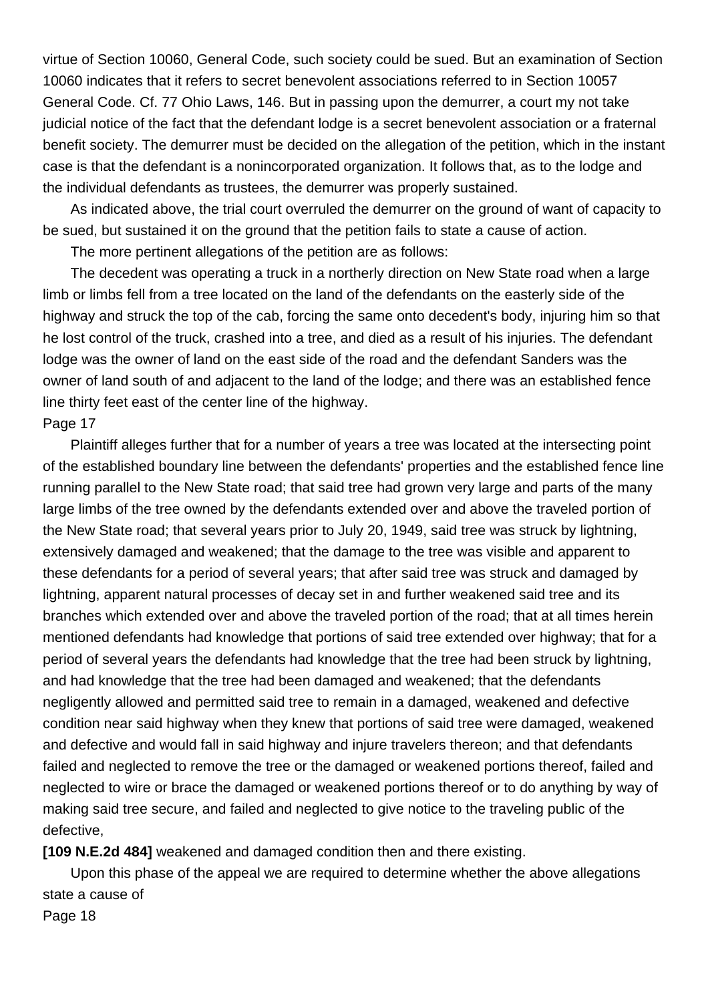virtue of Section 10060, General Code, such society could be sued. But an examination of Section 10060 indicates that it refers to secret benevolent associations referred to in Section 10057 General Code. Cf. 77 Ohio Laws, 146. But in passing upon the demurrer, a court my not take judicial notice of the fact that the defendant lodge is a secret benevolent association or a fraternal benefit society. The demurrer must be decided on the allegation of the petition, which in the instant case is that the defendant is a nonincorporated organization. It follows that, as to the lodge and the individual defendants as trustees, the demurrer was properly sustained.

 As indicated above, the trial court overruled the demurrer on the ground of want of capacity to be sued, but sustained it on the ground that the petition fails to state a cause of action.

The more pertinent allegations of the petition are as follows:

 The decedent was operating a truck in a northerly direction on New State road when a large limb or limbs fell from a tree located on the land of the defendants on the easterly side of the highway and struck the top of the cab, forcing the same onto decedent's body, injuring him so that he lost control of the truck, crashed into a tree, and died as a result of his injuries. The defendant lodge was the owner of land on the east side of the road and the defendant Sanders was the owner of land south of and adjacent to the land of the lodge; and there was an established fence line thirty feet east of the center line of the highway.

#### Page 17

 Plaintiff alleges further that for a number of years a tree was located at the intersecting point of the established boundary line between the defendants' properties and the established fence line running parallel to the New State road; that said tree had grown very large and parts of the many large limbs of the tree owned by the defendants extended over and above the traveled portion of the New State road; that several years prior to July 20, 1949, said tree was struck by lightning, extensively damaged and weakened; that the damage to the tree was visible and apparent to these defendants for a period of several years; that after said tree was struck and damaged by lightning, apparent natural processes of decay set in and further weakened said tree and its branches which extended over and above the traveled portion of the road; that at all times herein mentioned defendants had knowledge that portions of said tree extended over highway; that for a period of several years the defendants had knowledge that the tree had been struck by lightning, and had knowledge that the tree had been damaged and weakened; that the defendants negligently allowed and permitted said tree to remain in a damaged, weakened and defective condition near said highway when they knew that portions of said tree were damaged, weakened and defective and would fall in said highway and injure travelers thereon; and that defendants failed and neglected to remove the tree or the damaged or weakened portions thereof, failed and neglected to wire or brace the damaged or weakened portions thereof or to do anything by way of making said tree secure, and failed and neglected to give notice to the traveling public of the defective,

**[109 N.E.2d 484]** weakened and damaged condition then and there existing.

 Upon this phase of the appeal we are required to determine whether the above allegations state a cause of Page 18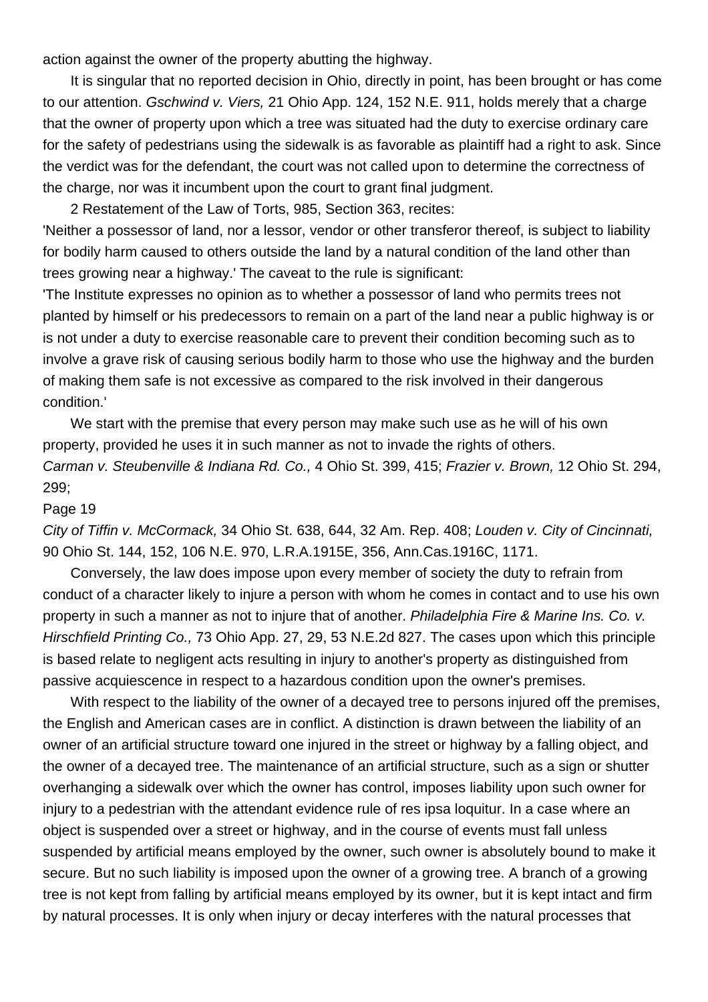action against the owner of the property abutting the highway.

 It is singular that no reported decision in Ohio, directly in point, has been brought or has come to our attention. Gschwind v. Viers, 21 Ohio App. 124, 152 N.E. 911, holds merely that a charge that the owner of property upon which a tree was situated had the duty to exercise ordinary care for the safety of pedestrians using the sidewalk is as favorable as plaintiff had a right to ask. Since the verdict was for the defendant, the court was not called upon to determine the correctness of the charge, nor was it incumbent upon the court to grant final judgment.

2 Restatement of the Law of Torts, 985, Section 363, recites:

'Neither a possessor of land, nor a lessor, vendor or other transferor thereof, is subject to liability for bodily harm caused to others outside the land by a natural condition of the land other than trees growing near a highway.' The caveat to the rule is significant:

'The Institute expresses no opinion as to whether a possessor of land who permits trees not planted by himself or his predecessors to remain on a part of the land near a public highway is or is not under a duty to exercise reasonable care to prevent their condition becoming such as to involve a grave risk of causing serious bodily harm to those who use the highway and the burden of making them safe is not excessive as compared to the risk involved in their dangerous condition.'

 We start with the premise that every person may make such use as he will of his own property, provided he uses it in such manner as not to invade the rights of others. Carman v. Steubenville & Indiana Rd. Co., 4 Ohio St. 399, 415; Frazier v. Brown, 12 Ohio St. 294, 299;

#### Page 19

City of Tiffin v. McCormack, 34 Ohio St. 638, 644, 32 Am. Rep. 408; Louden v. City of Cincinnati, 90 Ohio St. 144, 152, 106 N.E. 970, L.R.A.1915E, 356, Ann.Cas.1916C, 1171.

 Conversely, the law does impose upon every member of society the duty to refrain from conduct of a character likely to injure a person with whom he comes in contact and to use his own property in such a manner as not to injure that of another. Philadelphia Fire & Marine Ins. Co. v. Hirschfield Printing Co., 73 Ohio App. 27, 29, 53 N.E.2d 827. The cases upon which this principle is based relate to negligent acts resulting in injury to another's property as distinguished from passive acquiescence in respect to a hazardous condition upon the owner's premises.

 With respect to the liability of the owner of a decayed tree to persons injured off the premises, the English and American cases are in conflict. A distinction is drawn between the liability of an owner of an artificial structure toward one injured in the street or highway by a falling object, and the owner of a decayed tree. The maintenance of an artificial structure, such as a sign or shutter overhanging a sidewalk over which the owner has control, imposes liability upon such owner for injury to a pedestrian with the attendant evidence rule of res ipsa loquitur. In a case where an object is suspended over a street or highway, and in the course of events must fall unless suspended by artificial means employed by the owner, such owner is absolutely bound to make it secure. But no such liability is imposed upon the owner of a growing tree. A branch of a growing tree is not kept from falling by artificial means employed by its owner, but it is kept intact and firm by natural processes. It is only when injury or decay interferes with the natural processes that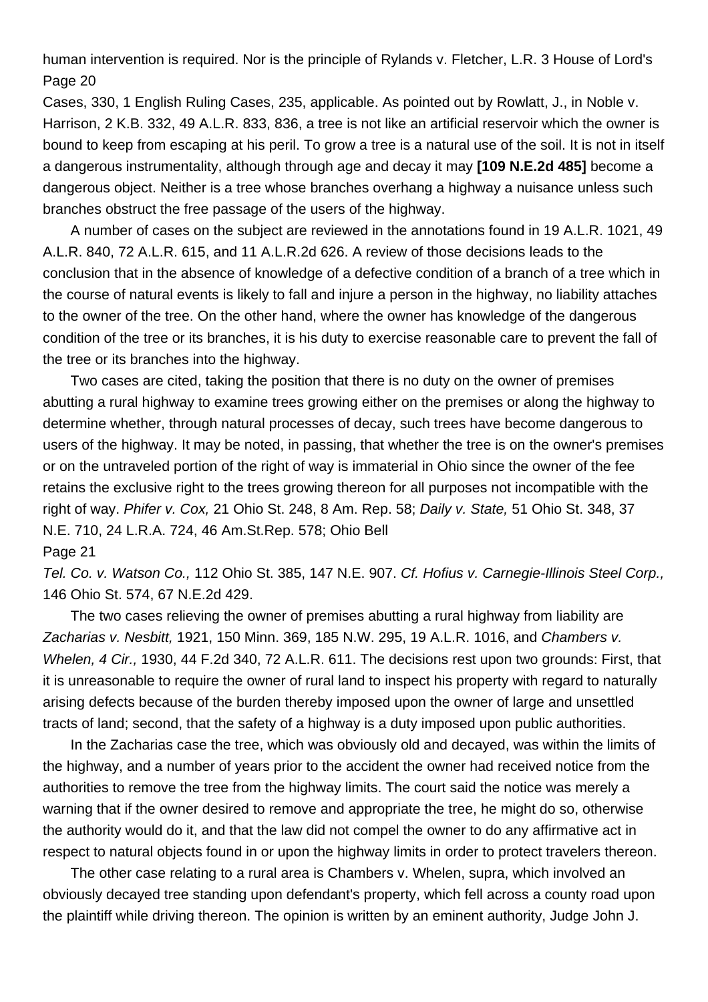human intervention is required. Nor is the principle of Rylands v. Fletcher, L.R. 3 House of Lord's Page 20

Cases, 330, 1 English Ruling Cases, 235, applicable. As pointed out by Rowlatt, J., in Noble v. Harrison, 2 K.B. 332, 49 A.L.R. 833, 836, a tree is not like an artificial reservoir which the owner is bound to keep from escaping at his peril. To grow a tree is a natural use of the soil. It is not in itself a dangerous instrumentality, although through age and decay it may **[109 N.E.2d 485]** become a dangerous object. Neither is a tree whose branches overhang a highway a nuisance unless such branches obstruct the free passage of the users of the highway.

 A number of cases on the subject are reviewed in the annotations found in 19 A.L.R. 1021, 49 A.L.R. 840, 72 A.L.R. 615, and 11 A.L.R.2d 626. A review of those decisions leads to the conclusion that in the absence of knowledge of a defective condition of a branch of a tree which in the course of natural events is likely to fall and injure a person in the highway, no liability attaches to the owner of the tree. On the other hand, where the owner has knowledge of the dangerous condition of the tree or its branches, it is his duty to exercise reasonable care to prevent the fall of the tree or its branches into the highway.

 Two cases are cited, taking the position that there is no duty on the owner of premises abutting a rural highway to examine trees growing either on the premises or along the highway to determine whether, through natural processes of decay, such trees have become dangerous to users of the highway. It may be noted, in passing, that whether the tree is on the owner's premises or on the untraveled portion of the right of way is immaterial in Ohio since the owner of the fee retains the exclusive right to the trees growing thereon for all purposes not incompatible with the right of way. Phifer v. Cox, 21 Ohio St. 248, 8 Am. Rep. 58; Daily v. State, 51 Ohio St. 348, 37 N.E. 710, 24 L.R.A. 724, 46 Am.St.Rep. 578; Ohio Bell

#### Page 21

Tel. Co. v. Watson Co., 112 Ohio St. 385, 147 N.E. 907. Cf. Hofius v. Carnegie-Illinois Steel Corp., 146 Ohio St. 574, 67 N.E.2d 429.

 The two cases relieving the owner of premises abutting a rural highway from liability are Zacharias v. Nesbitt, 1921, 150 Minn. 369, 185 N.W. 295, 19 A.L.R. 1016, and Chambers v. Whelen, 4 Cir., 1930, 44 F.2d 340, 72 A.L.R. 611. The decisions rest upon two grounds: First, that it is unreasonable to require the owner of rural land to inspect his property with regard to naturally arising defects because of the burden thereby imposed upon the owner of large and unsettled tracts of land; second, that the safety of a highway is a duty imposed upon public authorities.

 In the Zacharias case the tree, which was obviously old and decayed, was within the limits of the highway, and a number of years prior to the accident the owner had received notice from the authorities to remove the tree from the highway limits. The court said the notice was merely a warning that if the owner desired to remove and appropriate the tree, he might do so, otherwise the authority would do it, and that the law did not compel the owner to do any affirmative act in respect to natural objects found in or upon the highway limits in order to protect travelers thereon.

 The other case relating to a rural area is Chambers v. Whelen, supra, which involved an obviously decayed tree standing upon defendant's property, which fell across a county road upon the plaintiff while driving thereon. The opinion is written by an eminent authority, Judge John J.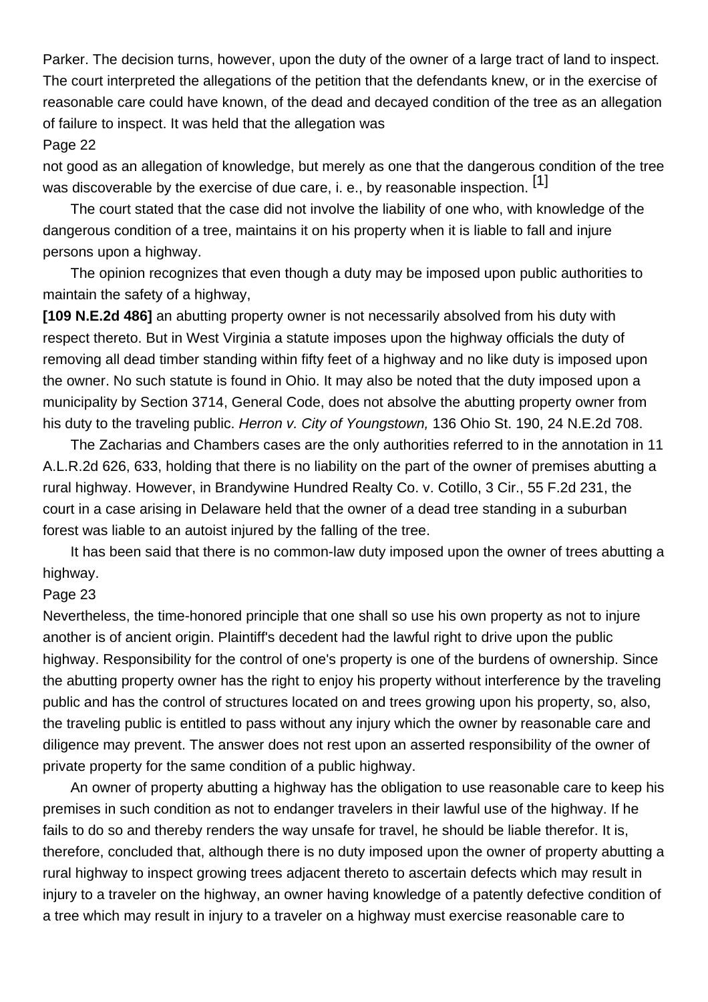Parker. The decision turns, however, upon the duty of the owner of a large tract of land to inspect. The court interpreted the allegations of the petition that the defendants knew, or in the exercise of reasonable care could have known, of the dead and decayed condition of the tree as an allegation of failure to inspect. It was held that the allegation was

#### Page 22

not good as an allegation of knowledge, but merely as one that the dangerous condition of the tree was discoverable by the exercise of due care, i. e., by reasonable inspection. [1]

 The court stated that the case did not involve the liability of one who, with knowledge of the dangerous condition of a tree, maintains it on his property when it is liable to fall and injure persons upon a highway.

 The opinion recognizes that even though a duty may be imposed upon public authorities to maintain the safety of a highway,

**[109 N.E.2d 486]** an abutting property owner is not necessarily absolved from his duty with respect thereto. But in West Virginia a statute imposes upon the highway officials the duty of removing all dead timber standing within fifty feet of a highway and no like duty is imposed upon the owner. No such statute is found in Ohio. It may also be noted that the duty imposed upon a municipality by Section 3714, General Code, does not absolve the abutting property owner from his duty to the traveling public. Herron v. City of Youngstown, 136 Ohio St. 190, 24 N.E.2d 708.

 The Zacharias and Chambers cases are the only authorities referred to in the annotation in 11 A.L.R.2d 626, 633, holding that there is no liability on the part of the owner of premises abutting a rural highway. However, in Brandywine Hundred Realty Co. v. Cotillo, 3 Cir., 55 F.2d 231, the court in a case arising in Delaware held that the owner of a dead tree standing in a suburban forest was liable to an autoist injured by the falling of the tree.

 It has been said that there is no common-law duty imposed upon the owner of trees abutting a highway.

#### Page 23

Nevertheless, the time-honored principle that one shall so use his own property as not to injure another is of ancient origin. Plaintiff's decedent had the lawful right to drive upon the public highway. Responsibility for the control of one's property is one of the burdens of ownership. Since the abutting property owner has the right to enjoy his property without interference by the traveling public and has the control of structures located on and trees growing upon his property, so, also, the traveling public is entitled to pass without any injury which the owner by reasonable care and diligence may prevent. The answer does not rest upon an asserted responsibility of the owner of private property for the same condition of a public highway.

 An owner of property abutting a highway has the obligation to use reasonable care to keep his premises in such condition as not to endanger travelers in their lawful use of the highway. If he fails to do so and thereby renders the way unsafe for travel, he should be liable therefor. It is, therefore, concluded that, although there is no duty imposed upon the owner of property abutting a rural highway to inspect growing trees adjacent thereto to ascertain defects which may result in injury to a traveler on the highway, an owner having knowledge of a patently defective condition of a tree which may result in injury to a traveler on a highway must exercise reasonable care to